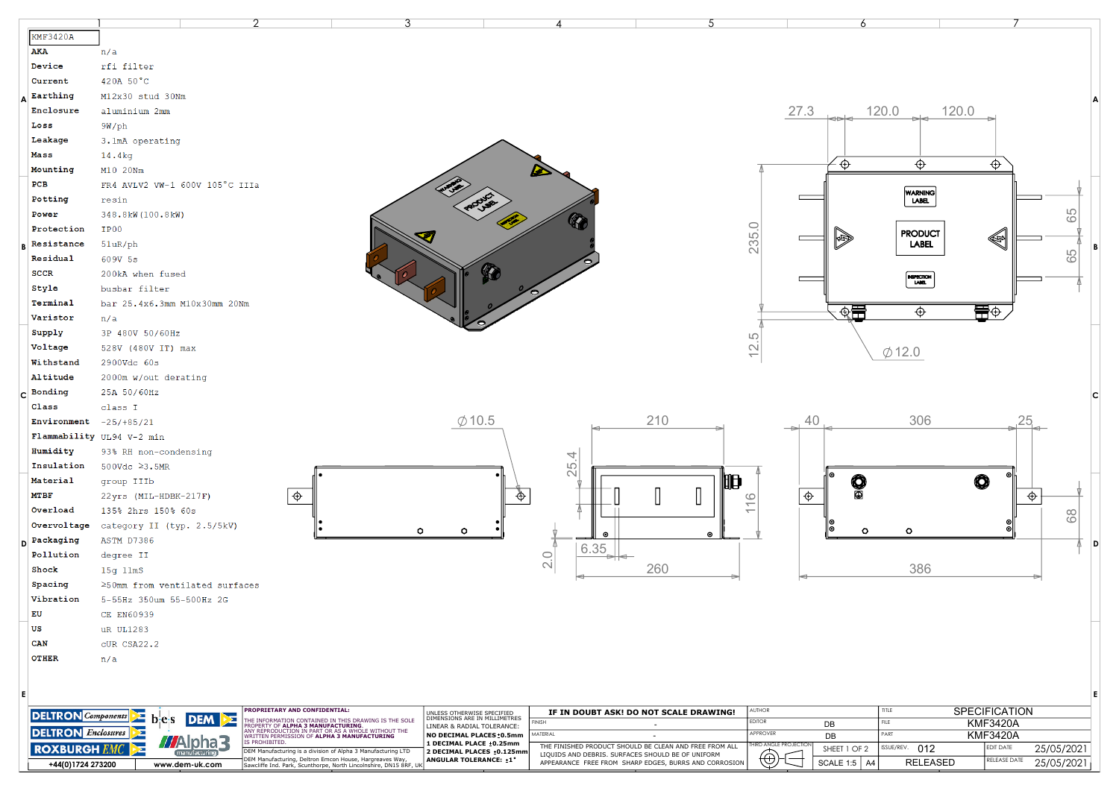| <b>KMF3420A</b>                  |                                      |                                                                                                                                                                                              |                                                                                           |                                                   |                                                                                                                 |                                                                             |                                      |                                                       |
|----------------------------------|--------------------------------------|----------------------------------------------------------------------------------------------------------------------------------------------------------------------------------------------|-------------------------------------------------------------------------------------------|---------------------------------------------------|-----------------------------------------------------------------------------------------------------------------|-----------------------------------------------------------------------------|--------------------------------------|-------------------------------------------------------|
| AKA                              | n/a                                  |                                                                                                                                                                                              |                                                                                           |                                                   |                                                                                                                 |                                                                             |                                      |                                                       |
| Device                           | rfi filter                           |                                                                                                                                                                                              |                                                                                           |                                                   |                                                                                                                 |                                                                             |                                      |                                                       |
| Current                          | 420A 50°C                            |                                                                                                                                                                                              |                                                                                           |                                                   |                                                                                                                 |                                                                             |                                      |                                                       |
| Earthing                         | M12x30 stud 30Nm                     |                                                                                                                                                                                              |                                                                                           |                                                   |                                                                                                                 |                                                                             |                                      |                                                       |
| Enclosure                        | aluminium 2mm                        |                                                                                                                                                                                              |                                                                                           |                                                   |                                                                                                                 | 27.3                                                                        | 120.0<br>120.0                       |                                                       |
| Loss                             | $9W$ /ph                             |                                                                                                                                                                                              |                                                                                           |                                                   |                                                                                                                 |                                                                             |                                      |                                                       |
| Leakage                          | 3.1mA operating                      |                                                                                                                                                                                              |                                                                                           |                                                   |                                                                                                                 |                                                                             |                                      |                                                       |
| Mass                             | 14.4kg                               |                                                                                                                                                                                              |                                                                                           |                                                   |                                                                                                                 |                                                                             |                                      | ⊕                                                     |
| Mounting                         | M10 20Nm                             |                                                                                                                                                                                              |                                                                                           |                                                   |                                                                                                                 | $\oplus$                                                                    | Ф                                    |                                                       |
| PCB                              | FR4 AVLV2 VW-1 600V 105°C IIIa       |                                                                                                                                                                                              |                                                                                           |                                                   |                                                                                                                 |                                                                             |                                      |                                                       |
| Potting                          | resin                                |                                                                                                                                                                                              |                                                                                           |                                                   |                                                                                                                 |                                                                             | WARNING<br>  LABEL                   |                                                       |
| Power                            | 348.8kW (100.8kW)                    |                                                                                                                                                                                              |                                                                                           | Q                                                 |                                                                                                                 |                                                                             |                                      | 65                                                    |
| Protection                       | IP00                                 |                                                                                                                                                                                              |                                                                                           |                                                   |                                                                                                                 |                                                                             | <b>PRODUCT</b>                       | া                                                     |
| Resistance                       | 51uR/ph                              |                                                                                                                                                                                              |                                                                                           |                                                   |                                                                                                                 | 235.0<br>$\bigtriangledown$                                                 | <b>LABEL</b>                         | ΙB                                                    |
| Residual                         | 609V 5s                              |                                                                                                                                                                                              |                                                                                           |                                                   |                                                                                                                 |                                                                             |                                      | 65                                                    |
| <b>SCCR</b>                      | 200kA when fused                     |                                                                                                                                                                                              | Q                                                                                         |                                                   |                                                                                                                 |                                                                             | <b>ENSPECTION</b>                    |                                                       |
| Style                            | busbar filter                        |                                                                                                                                                                                              |                                                                                           |                                                   |                                                                                                                 |                                                                             |                                      |                                                       |
| Terminal                         | bar 25.4x6.3mm M10x30mm 20Nm         |                                                                                                                                                                                              |                                                                                           |                                                   |                                                                                                                 |                                                                             |                                      |                                                       |
| Varistor                         | n/a                                  |                                                                                                                                                                                              |                                                                                           |                                                   |                                                                                                                 | 虛量                                                                          | $\bigoplus$                          | ¶⊕                                                    |
| Supply                           | 3P 480V 50/60Hz                      |                                                                                                                                                                                              |                                                                                           |                                                   | LO                                                                                                              |                                                                             |                                      |                                                       |
| Voltage                          | 528V (480V IT) max                   |                                                                                                                                                                                              |                                                                                           |                                                   |                                                                                                                 | $\overline{2}$                                                              | $\phi$ 12.0                          |                                                       |
| Withstand                        | 2900Vdc 60s                          |                                                                                                                                                                                              |                                                                                           |                                                   |                                                                                                                 |                                                                             |                                      |                                                       |
| Altitude                         | 2000m w/out derating                 |                                                                                                                                                                                              |                                                                                           |                                                   |                                                                                                                 |                                                                             |                                      |                                                       |
| Bonding                          | 25A 50/60Hz                          |                                                                                                                                                                                              |                                                                                           |                                                   |                                                                                                                 |                                                                             |                                      |                                                       |
| Class                            | class I                              |                                                                                                                                                                                              |                                                                                           |                                                   |                                                                                                                 |                                                                             |                                      |                                                       |
|                                  |                                      |                                                                                                                                                                                              |                                                                                           |                                                   |                                                                                                                 |                                                                             |                                      |                                                       |
| Environment $-25/+85/21$         |                                      |                                                                                                                                                                                              | $\emptyset$ 10.5                                                                          |                                                   | 210                                                                                                             | 40                                                                          | 306                                  | 25                                                    |
|                                  | Flammability UL94 V-2 min            |                                                                                                                                                                                              |                                                                                           |                                                   |                                                                                                                 |                                                                             |                                      |                                                       |
| Humidity                         | 93% RH non-condensing                |                                                                                                                                                                                              |                                                                                           | 4                                                 |                                                                                                                 |                                                                             |                                      |                                                       |
| Insulation                       | 500Vdc ≥3.5MR                        |                                                                                                                                                                                              |                                                                                           |                                                   |                                                                                                                 |                                                                             |                                      |                                                       |
| Material                         | group IIIb                           |                                                                                                                                                                                              |                                                                                           | 25.                                               | 阳                                                                                                               |                                                                             |                                      | $\odot$<br>0                                          |
| <b>MTBF</b>                      | 22yrs (MIL-HDBK-217F)                | $\phi$                                                                                                                                                                                       |                                                                                           | $\Phi$                                            | $\lceil$<br>$\circ$                                                                                             | O<br>⊕                                                                      |                                      | $\Phi$                                                |
| Overload                         | 135% 2hrs 150% 60s                   |                                                                                                                                                                                              |                                                                                           |                                                   | $\overline{\phantom{0}}$<br>$\overline{\phantom{0}}$                                                            |                                                                             |                                      |                                                       |
| Overvoltage                      | category II (typ. 2.5/5kV)           |                                                                                                                                                                                              | ۰<br>۰                                                                                    |                                                   |                                                                                                                 | o                                                                           | o                                    | 68<br>⊚<br>O                                          |
| Packaging                        | ASTM D7386                           |                                                                                                                                                                                              |                                                                                           | $\bullet$                                         | $\bullet$                                                                                                       |                                                                             |                                      | D                                                     |
| Pollution                        | degree II                            |                                                                                                                                                                                              |                                                                                           | 6.35                                              |                                                                                                                 |                                                                             |                                      |                                                       |
| Shock                            | $15g$ $11ms$                         |                                                                                                                                                                                              |                                                                                           | 2.0                                               | 260                                                                                                             |                                                                             | 386                                  |                                                       |
| Spacing                          | ≥50mm from ventilated surfaces       |                                                                                                                                                                                              |                                                                                           |                                                   |                                                                                                                 |                                                                             |                                      |                                                       |
| Vibration                        | 5-55Hz 350um 55-500Hz 2G             |                                                                                                                                                                                              |                                                                                           |                                                   |                                                                                                                 |                                                                             |                                      |                                                       |
| EU                               | CE EN60939                           |                                                                                                                                                                                              |                                                                                           |                                                   |                                                                                                                 |                                                                             |                                      |                                                       |
| US                               | uR UL1283                            |                                                                                                                                                                                              |                                                                                           |                                                   |                                                                                                                 |                                                                             |                                      |                                                       |
| <b>CAN</b>                       | cUR CSA22.2                          |                                                                                                                                                                                              |                                                                                           |                                                   |                                                                                                                 |                                                                             |                                      |                                                       |
| <b>OTHER</b>                     | n/a                                  |                                                                                                                                                                                              |                                                                                           |                                                   |                                                                                                                 |                                                                             |                                      |                                                       |
|                                  |                                      |                                                                                                                                                                                              |                                                                                           |                                                   |                                                                                                                 |                                                                             |                                      |                                                       |
|                                  |                                      |                                                                                                                                                                                              |                                                                                           |                                                   |                                                                                                                 |                                                                             |                                      | E                                                     |
|                                  |                                      | PROPRIETARY AND CONFIDENTIAL:                                                                                                                                                                |                                                                                           |                                                   |                                                                                                                 | AUTHOR                                                                      | TITLE                                |                                                       |
| <b>DELTRON</b> Components        | $\geq$<br><b>DEM</b><br>⊵Σ<br>$-e$ s | .<br>The INFORMATION CONTAINED IN THIS DRAWING IS THE SOLE<br>PROPERTY OF <b>ALPHA 3 MANUFACTURING</b> .                                                                                     | UNLESS OTHERWISE SPECIFIED<br>DIMENSIONS ARE IN MILLIMETRES<br>LINEAR & RADIAL TOLERANCE: | FINISH                                            | IF IN DOUBT ASK! DO NOT SCALE DRAWING!<br>$\overline{\phantom{a}}$                                              | <b>EDITOR</b><br>DB                                                         | FILE                                 | <b>SPECIFICATION</b><br><b>KMF3420A</b>               |
| <b>DELTRON</b> <i>Enclosures</i> | ⊵Σ<br><b>PROHIBITED</b>              | ANY REPRODUCTION IN PART OR AS A WHOLE WITHOUT THE<br>VRITTEN PERMISSION OF ALPHA 3 MANUFACTURING                                                                                            | NO DECIMAL PLACES: 0.5mm                                                                  | MATERIAL                                          | $\overline{\phantom{a}}$                                                                                        | APPROVER<br>DB                                                              | PART                                 | <b>KMF3420A</b>                                       |
| <b>ROXBURGH</b> $E$              | Alpha<br>ż<br>ufacturing             | DEM Manufacturing is a division of Alpha 3 Manufacturing LTD<br>DEM Manufacturing, Deltron Emcon House, Hargreaves Way,<br>Sawcliffe Ind. Park, Scunthorpe, North Lincolnshire, DN15 8RF, UK | 1 DECIMAL PLACE : 0.25mm<br>2 DECIMAL PLACES : 0.125mm<br>ANGULAR TOLERANCE: :1°          | LIQUIDS AND DEBRIS. SURFACES SHOULD BE OF UNIFORM | THE FINISHED PRODUCT SHOULD BE CLEAN AND FREE FROM ALL<br>APPEARANCE FREE FROM SHARP EDGES, BURRS AND CORROSION | <b>HIRD ANGLE PROJECTION</b><br>SHEET 1 OF 2<br>$\Theta$<br>A4<br>SCALE 1:5 | ISSUE/REV.<br>012<br><b>RELEASED</b> | EDIT DATE<br>25/05/2021<br>RELEASE DATE<br>25/05/2021 |